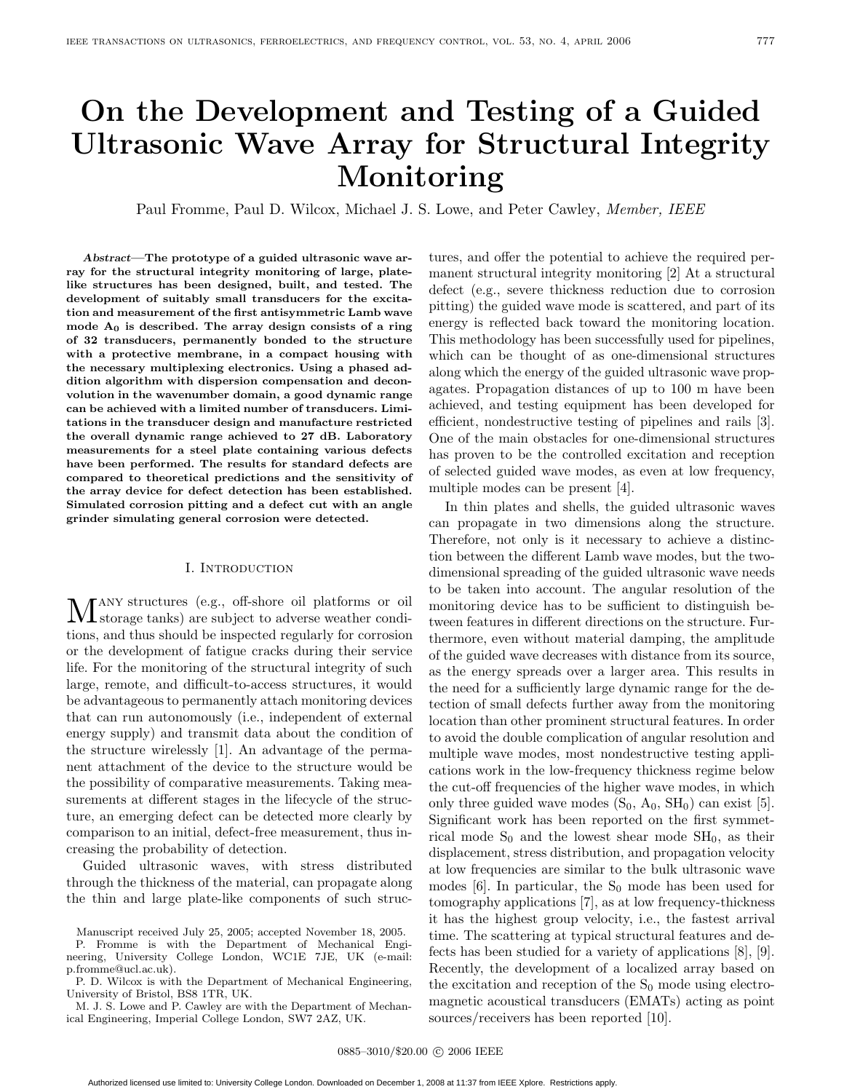# **On the Development and Testing of a Guided Ultrasonic Wave Array for Structural Integrity Monitoring**

Paul Fromme, Paul D. Wilcox, Michael J. S. Lowe, and Peter Cawley, Member, IEEE

*Abstract***—The prototype of a guided ultrasonic wave array for the structural integrity monitoring of large, platelike structures has been designed, built, and tested. The development of suitably small transducers for the excitation and measurement of the first antisymmetric Lamb wave mode A0 is described. The array design consists of a ring of 32 transducers, permanently bonded to the structure with a protective membrane, in a compact housing with the necessary multiplexing electronics. Using a phased addition algorithm with dispersion compensation and deconvolution in the wavenumber domain, a good dynamic range can be achieved with a limited number of transducers. Limitations in the transducer design and manufacture restricted the overall dynamic range achieved to 27 dB. Laboratory measurements for a steel plate containing various defects have been performed. The results for standard defects are compared to theoretical predictions and the sensitivity of the array device for defect detection has been established. Simulated corrosion pitting and a defect cut with an angle grinder simulating general corrosion were detected.**

# I. Introduction

Many structures (e.g., off-shore oil platforms or oil storage tanks) are subject to adverse weather conditions, and thus should be inspected regularly for corrosion or the development of fatigue cracks during their service life. For the monitoring of the structural integrity of such large, remote, and difficult-to-access structures, it would be advantageous to permanently attach monitoring devices that can run autonomously (i.e., independent of external energy supply) and transmit data about the condition of the structure wirelessly [1]. An advantage of the permanent attachment of the device to the structure would be the possibility of comparative measurements. Taking measurements at different stages in the lifecycle of the structure, an emerging defect can be detected more clearly by comparison to an initial, defect-free measurement, thus increasing the probability of detection.

Guided ultrasonic waves, with stress distributed through the thickness of the material, can propagate along the thin and large plate-like components of such struc-

tures, and offer the potential to achieve the required permanent structural integrity monitoring [2] At a structural defect (e.g., severe thickness reduction due to corrosion pitting) the guided wave mode is scattered, and part of its energy is reflected back toward the monitoring location. This methodology has been successfully used for pipelines, which can be thought of as one-dimensional structures along which the energy of the guided ultrasonic wave propagates. Propagation distances of up to 100 m have been achieved, and testing equipment has been developed for efficient, nondestructive testing of pipelines and rails [3]. One of the main obstacles for one-dimensional structures has proven to be the controlled excitation and reception of selected guided wave modes, as even at low frequency, multiple modes can be present [4].

In thin plates and shells, the guided ultrasonic waves can propagate in two dimensions along the structure. Therefore, not only is it necessary to achieve a distinction between the different Lamb wave modes, but the twodimensional spreading of the guided ultrasonic wave needs to be taken into account. The angular resolution of the monitoring device has to be sufficient to distinguish between features in different directions on the structure. Furthermore, even without material damping, the amplitude of the guided wave decreases with distance from its source, as the energy spreads over a larger area. This results in the need for a sufficiently large dynamic range for the detection of small defects further away from the monitoring location than other prominent structural features. In order to avoid the double complication of angular resolution and multiple wave modes, most nondestructive testing applications work in the low-frequency thickness regime below the cut-off frequencies of the higher wave modes, in which only three guided wave modes  $(S_0, A_0, SH_0)$  can exist [5]. Significant work has been reported on the first symmetrical mode  $S_0$  and the lowest shear mode  $SH_0$ , as their displacement, stress distribution, and propagation velocity at low frequencies are similar to the bulk ultrasonic wave modes  $[6]$ . In particular, the  $S_0$  mode has been used for tomography applications [7], as at low frequency-thickness it has the highest group velocity, i.e., the fastest arrival time. The scattering at typical structural features and defects has been studied for a variety of applications [8], [9]. Recently, the development of a localized array based on the excitation and reception of the  $S_0$  mode using electromagnetic acoustical transducers (EMATs) acting as point sources/receivers has been reported [10].

Manuscript received July 25, 2005; accepted November 18, 2005.

P. Fromme is with the Department of Mechanical Engineering, University College London, WC1E 7JE, UK (e-mail: p.fromme@ucl.ac.uk).

P. D. Wilcox is with the Department of Mechanical Engineering, University of Bristol, BS8 1TR, UK.

M. J. S. Lowe and P. Cawley are with the Department of Mechanical Engineering, Imperial College London, SW7 2AZ, UK.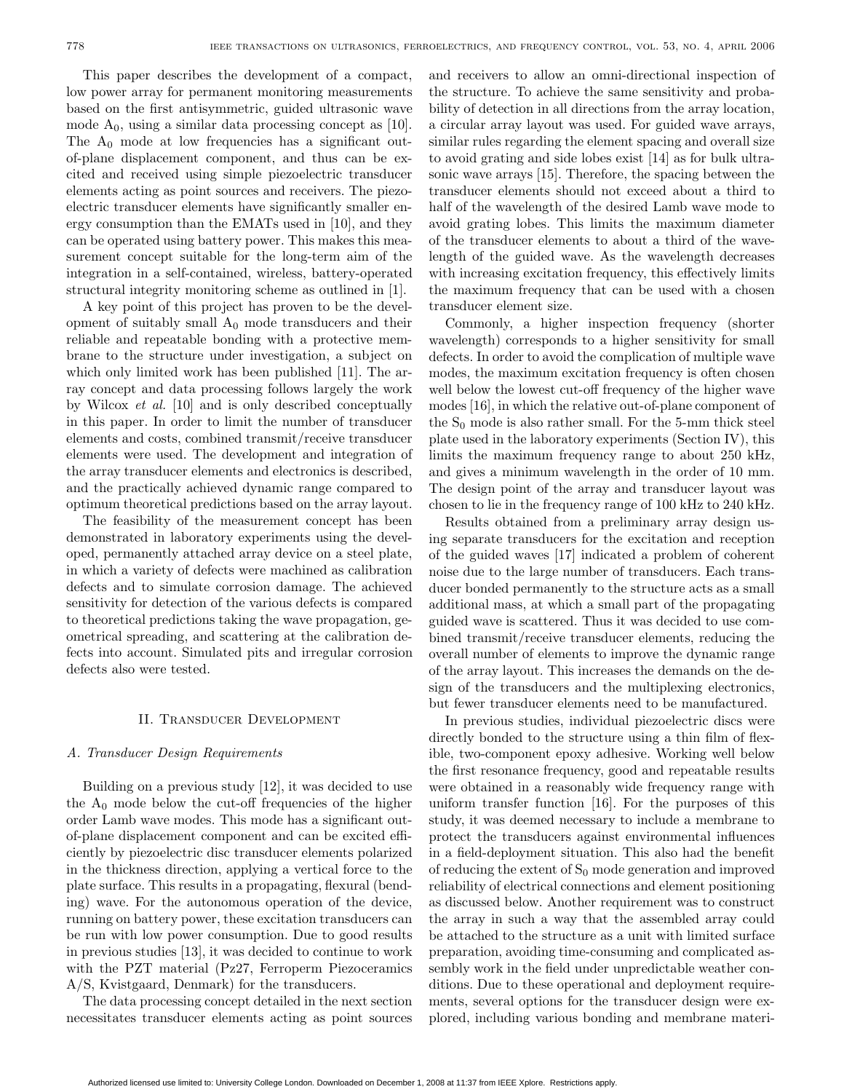This paper describes the development of a compact, low power array for permanent monitoring measurements based on the first antisymmetric, guided ultrasonic wave mode  $A_0$ , using a similar data processing concept as [10]. The  $A_0$  mode at low frequencies has a significant outof-plane displacement component, and thus can be excited and received using simple piezoelectric transducer elements acting as point sources and receivers. The piezoelectric transducer elements have significantly smaller energy consumption than the EMATs used in [10], and they can be operated using battery power. This makes this measurement concept suitable for the long-term aim of the integration in a self-contained, wireless, battery-operated structural integrity monitoring scheme as outlined in [1].

A key point of this project has proven to be the development of suitably small  $A_0$  mode transducers and their reliable and repeatable bonding with a protective membrane to the structure under investigation, a subject on which only limited work has been published [11]. The array concept and data processing follows largely the work by Wilcox et al. [10] and is only described conceptually in this paper. In order to limit the number of transducer elements and costs, combined transmit/receive transducer elements were used. The development and integration of the array transducer elements and electronics is described, and the practically achieved dynamic range compared to optimum theoretical predictions based on the array layout.

The feasibility of the measurement concept has been demonstrated in laboratory experiments using the developed, permanently attached array device on a steel plate, in which a variety of defects were machined as calibration defects and to simulate corrosion damage. The achieved sensitivity for detection of the various defects is compared to theoretical predictions taking the wave propagation, geometrical spreading, and scattering at the calibration defects into account. Simulated pits and irregular corrosion defects also were tested.

#### II. Transducer Development

## A. Transducer Design Requirements

Building on a previous study [12], it was decided to use the  $A_0$  mode below the cut-off frequencies of the higher order Lamb wave modes. This mode has a significant outof-plane displacement component and can be excited efficiently by piezoelectric disc transducer elements polarized in the thickness direction, applying a vertical force to the plate surface. This results in a propagating, flexural (bending) wave. For the autonomous operation of the device, running on battery power, these excitation transducers can be run with low power consumption. Due to good results in previous studies [13], it was decided to continue to work with the PZT material (Pz27, Ferroperm Piezoceramics A/S, Kvistgaard, Denmark) for the transducers.

The data processing concept detailed in the next section necessitates transducer elements acting as point sources

and receivers to allow an omni-directional inspection of the structure. To achieve the same sensitivity and probability of detection in all directions from the array location, a circular array layout was used. For guided wave arrays, similar rules regarding the element spacing and overall size to avoid grating and side lobes exist [14] as for bulk ultrasonic wave arrays [15]. Therefore, the spacing between the transducer elements should not exceed about a third to half of the wavelength of the desired Lamb wave mode to avoid grating lobes. This limits the maximum diameter of the transducer elements to about a third of the wavelength of the guided wave. As the wavelength decreases with increasing excitation frequency, this effectively limits the maximum frequency that can be used with a chosen transducer element size.

Commonly, a higher inspection frequency (shorter wavelength) corresponds to a higher sensitivity for small defects. In order to avoid the complication of multiple wave modes, the maximum excitation frequency is often chosen well below the lowest cut-off frequency of the higher wave modes [16], in which the relative out-of-plane component of the  $S_0$  mode is also rather small. For the 5-mm thick steel plate used in the laboratory experiments (Section IV), this limits the maximum frequency range to about 250 kHz, and gives a minimum wavelength in the order of 10 mm. The design point of the array and transducer layout was chosen to lie in the frequency range of 100 kHz to 240 kHz.

Results obtained from a preliminary array design using separate transducers for the excitation and reception of the guided waves [17] indicated a problem of coherent noise due to the large number of transducers. Each transducer bonded permanently to the structure acts as a small additional mass, at which a small part of the propagating guided wave is scattered. Thus it was decided to use combined transmit/receive transducer elements, reducing the overall number of elements to improve the dynamic range of the array layout. This increases the demands on the design of the transducers and the multiplexing electronics, but fewer transducer elements need to be manufactured.

In previous studies, individual piezoelectric discs were directly bonded to the structure using a thin film of flexible, two-component epoxy adhesive. Working well below the first resonance frequency, good and repeatable results were obtained in a reasonably wide frequency range with uniform transfer function [16]. For the purposes of this study, it was deemed necessary to include a membrane to protect the transducers against environmental influences in a field-deployment situation. This also had the benefit of reducing the extent of  $S_0$  mode generation and improved reliability of electrical connections and element positioning as discussed below. Another requirement was to construct the array in such a way that the assembled array could be attached to the structure as a unit with limited surface preparation, avoiding time-consuming and complicated assembly work in the field under unpredictable weather conditions. Due to these operational and deployment requirements, several options for the transducer design were explored, including various bonding and membrane materi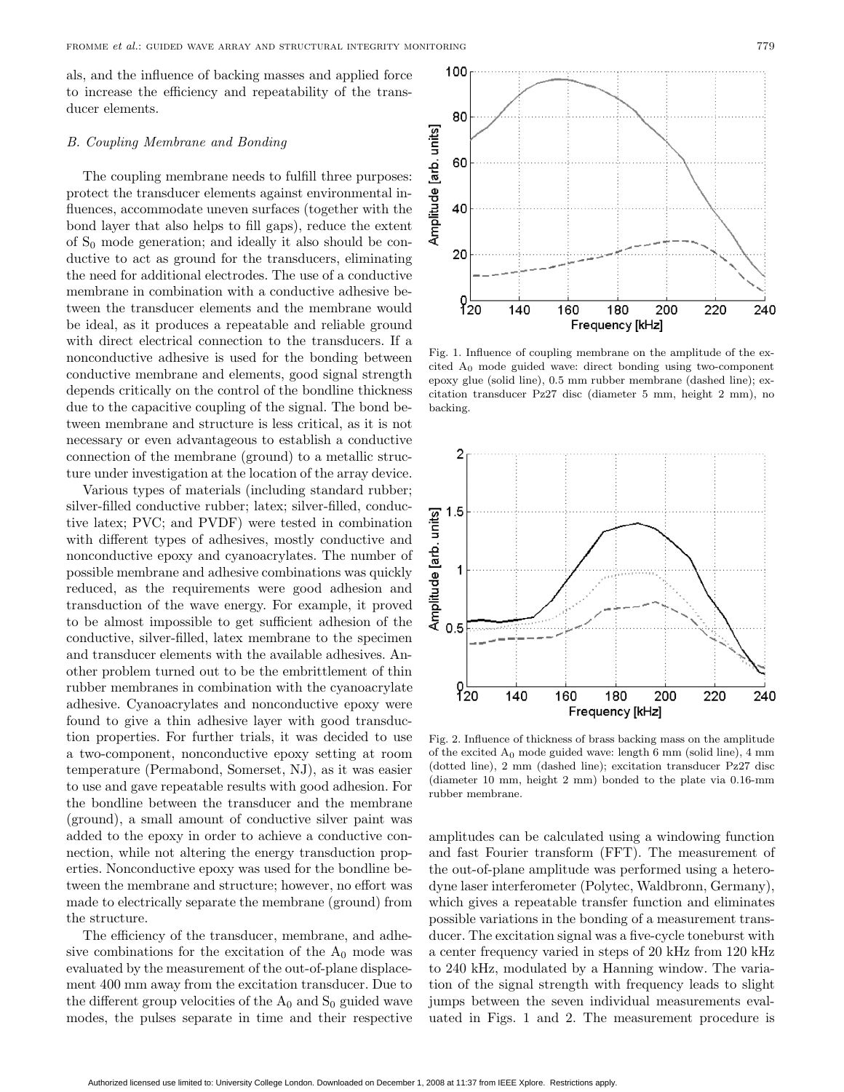als, and the influence of backing masses and applied force to increase the efficiency and repeatability of the transducer elements.

#### B. Coupling Membrane and Bonding

The coupling membrane needs to fulfill three purposes: protect the transducer elements against environmental influences, accommodate uneven surfaces (together with the bond layer that also helps to fill gaps), reduce the extent of  $S_0$  mode generation; and ideally it also should be conductive to act as ground for the transducers, eliminating the need for additional electrodes. The use of a conductive membrane in combination with a conductive adhesive between the transducer elements and the membrane would be ideal, as it produces a repeatable and reliable ground with direct electrical connection to the transducers. If a nonconductive adhesive is used for the bonding between conductive membrane and elements, good signal strength depends critically on the control of the bondline thickness due to the capacitive coupling of the signal. The bond between membrane and structure is less critical, as it is not necessary or even advantageous to establish a conductive connection of the membrane (ground) to a metallic structure under investigation at the location of the array device.

Various types of materials (including standard rubber; silver-filled conductive rubber; latex; silver-filled, conductive latex; PVC; and PVDF) were tested in combination with different types of adhesives, mostly conductive and nonconductive epoxy and cyanoacrylates. The number of possible membrane and adhesive combinations was quickly reduced, as the requirements were good adhesion and transduction of the wave energy. For example, it proved to be almost impossible to get sufficient adhesion of the conductive, silver-filled, latex membrane to the specimen and transducer elements with the available adhesives. Another problem turned out to be the embrittlement of thin rubber membranes in combination with the cyanoacrylate adhesive. Cyanoacrylates and nonconductive epoxy were found to give a thin adhesive layer with good transduction properties. For further trials, it was decided to use a two-component, nonconductive epoxy setting at room temperature (Permabond, Somerset, NJ), as it was easier to use and gave repeatable results with good adhesion. For the bondline between the transducer and the membrane (ground), a small amount of conductive silver paint was added to the epoxy in order to achieve a conductive connection, while not altering the energy transduction properties. Nonconductive epoxy was used for the bondline between the membrane and structure; however, no effort was made to electrically separate the membrane (ground) from the structure.

The efficiency of the transducer, membrane, and adhesive combinations for the excitation of the  $A_0$  mode was evaluated by the measurement of the out-of-plane displacement 400 mm away from the excitation transducer. Due to the different group velocities of the  $A_0$  and  $S_0$  guided wave modes, the pulses separate in time and their respective



Fig. 1. Influence of coupling membrane on the amplitude of the excited A<sup>0</sup> mode guided wave: direct bonding using two-component epoxy glue (solid line), 0.5 mm rubber membrane (dashed line); excitation transducer Pz27 disc (diameter 5 mm, height 2 mm), no backing.



Fig. 2. Influence of thickness of brass backing mass on the amplitude of the excited  $A_0$  mode guided wave: length 6 mm (solid line), 4 mm (dotted line), 2 mm (dashed line); excitation transducer Pz27 disc (diameter 10 mm, height 2 mm) bonded to the plate via 0.16-mm rubber membrane.

amplitudes can be calculated using a windowing function and fast Fourier transform (FFT). The measurement of the out-of-plane amplitude was performed using a heterodyne laser interferometer (Polytec, Waldbronn, Germany), which gives a repeatable transfer function and eliminates possible variations in the bonding of a measurement transducer. The excitation signal was a five-cycle toneburst with a center frequency varied in steps of 20 kHz from 120 kHz to 240 kHz, modulated by a Hanning window. The variation of the signal strength with frequency leads to slight jumps between the seven individual measurements evaluated in Figs. 1 and 2. The measurement procedure is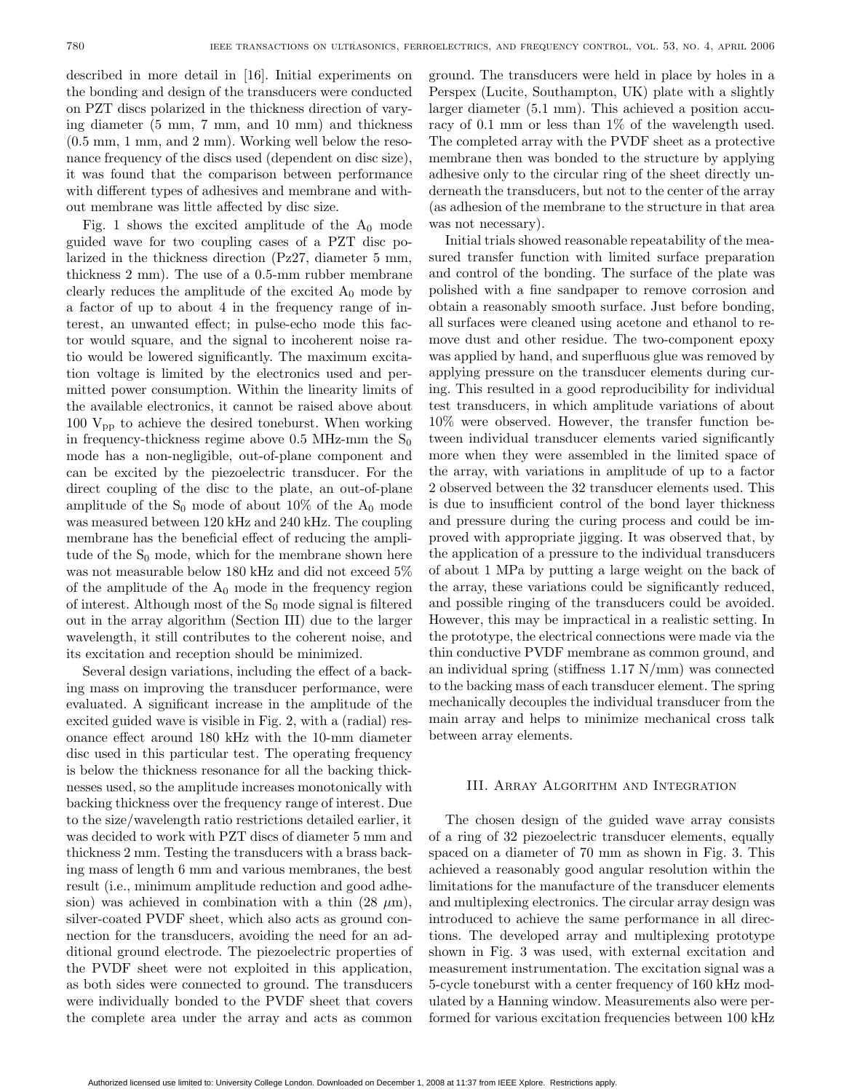described in more detail in [16]. Initial experiments on the bonding and design of the transducers were conducted on PZT discs polarized in the thickness direction of varying diameter (5 mm, 7 mm, and 10 mm) and thickness (0.5 mm, 1 mm, and 2 mm). Working well below the resonance frequency of the discs used (dependent on disc size), it was found that the comparison between performance with different types of adhesives and membrane and without membrane was little affected by disc size.

Fig. 1 shows the excited amplitude of the  $A_0$  mode guided wave for two coupling cases of a PZT disc polarized in the thickness direction (Pz27, diameter 5 mm, thickness 2 mm). The use of a 0.5-mm rubber membrane clearly reduces the amplitude of the excited  $A_0$  mode by a factor of up to about 4 in the frequency range of interest, an unwanted effect; in pulse-echo mode this factor would square, and the signal to incoherent noise ratio would be lowered significantly. The maximum excitation voltage is limited by the electronics used and permitted power consumption. Within the linearity limits of the available electronics, it cannot be raised above about 100  $V_{\text{pp}}$  to achieve the desired toneburst. When working in frequency-thickness regime above 0.5 MHz-mm the  $S_0$ mode has a non-negligible, out-of-plane component and can be excited by the piezoelectric transducer. For the direct coupling of the disc to the plate, an out-of-plane amplitude of the  $S_0$  mode of about 10% of the  $A_0$  mode was measured between 120 kHz and 240 kHz. The coupling membrane has the beneficial effect of reducing the amplitude of the  $S_0$  mode, which for the membrane shown here was not measurable below 180 kHz and did not exceed 5% of the amplitude of the  $A_0$  mode in the frequency region of interest. Although most of the  $S_0$  mode signal is filtered out in the array algorithm (Section III) due to the larger wavelength, it still contributes to the coherent noise, and its excitation and reception should be minimized.

Several design variations, including the effect of a backing mass on improving the transducer performance, were evaluated. A significant increase in the amplitude of the excited guided wave is visible in Fig. 2, with a (radial) resonance effect around 180 kHz with the 10-mm diameter disc used in this particular test. The operating frequency is below the thickness resonance for all the backing thicknesses used, so the amplitude increases monotonically with backing thickness over the frequency range of interest. Due to the size/wavelength ratio restrictions detailed earlier, it was decided to work with PZT discs of diameter 5 mm and thickness 2 mm. Testing the transducers with a brass backing mass of length 6 mm and various membranes, the best result (i.e., minimum amplitude reduction and good adhesion) was achieved in combination with a thin  $(28 \mu m)$ , silver-coated PVDF sheet, which also acts as ground connection for the transducers, avoiding the need for an additional ground electrode. The piezoelectric properties of the PVDF sheet were not exploited in this application, as both sides were connected to ground. The transducers were individually bonded to the PVDF sheet that covers the complete area under the array and acts as common

ground. The transducers were held in place by holes in a Perspex (Lucite, Southampton, UK) plate with a slightly larger diameter (5.1 mm). This achieved a position accuracy of 0.1 mm or less than 1% of the wavelength used. The completed array with the PVDF sheet as a protective membrane then was bonded to the structure by applying adhesive only to the circular ring of the sheet directly underneath the transducers, but not to the center of the array (as adhesion of the membrane to the structure in that area was not necessary).

Initial trials showed reasonable repeatability of the measured transfer function with limited surface preparation and control of the bonding. The surface of the plate was polished with a fine sandpaper to remove corrosion and obtain a reasonably smooth surface. Just before bonding, all surfaces were cleaned using acetone and ethanol to remove dust and other residue. The two-component epoxy was applied by hand, and superfluous glue was removed by applying pressure on the transducer elements during curing. This resulted in a good reproducibility for individual test transducers, in which amplitude variations of about 10% were observed. However, the transfer function between individual transducer elements varied significantly more when they were assembled in the limited space of the array, with variations in amplitude of up to a factor 2 observed between the 32 transducer elements used. This is due to insufficient control of the bond layer thickness and pressure during the curing process and could be improved with appropriate jigging. It was observed that, by the application of a pressure to the individual transducers of about 1 MPa by putting a large weight on the back of the array, these variations could be significantly reduced, and possible ringing of the transducers could be avoided. However, this may be impractical in a realistic setting. In the prototype, the electrical connections were made via the thin conductive PVDF membrane as common ground, and an individual spring (stiffness  $1.17$  N/mm) was connected to the backing mass of each transducer element. The spring mechanically decouples the individual transducer from the main array and helps to minimize mechanical cross talk between array elements.

#### III. Array Algorithm and Integration

The chosen design of the guided wave array consists of a ring of 32 piezoelectric transducer elements, equally spaced on a diameter of 70 mm as shown in Fig. 3. This achieved a reasonably good angular resolution within the limitations for the manufacture of the transducer elements and multiplexing electronics. The circular array design was introduced to achieve the same performance in all directions. The developed array and multiplexing prototype shown in Fig. 3 was used, with external excitation and measurement instrumentation. The excitation signal was a 5-cycle toneburst with a center frequency of 160 kHz modulated by a Hanning window. Measurements also were performed for various excitation frequencies between 100 kHz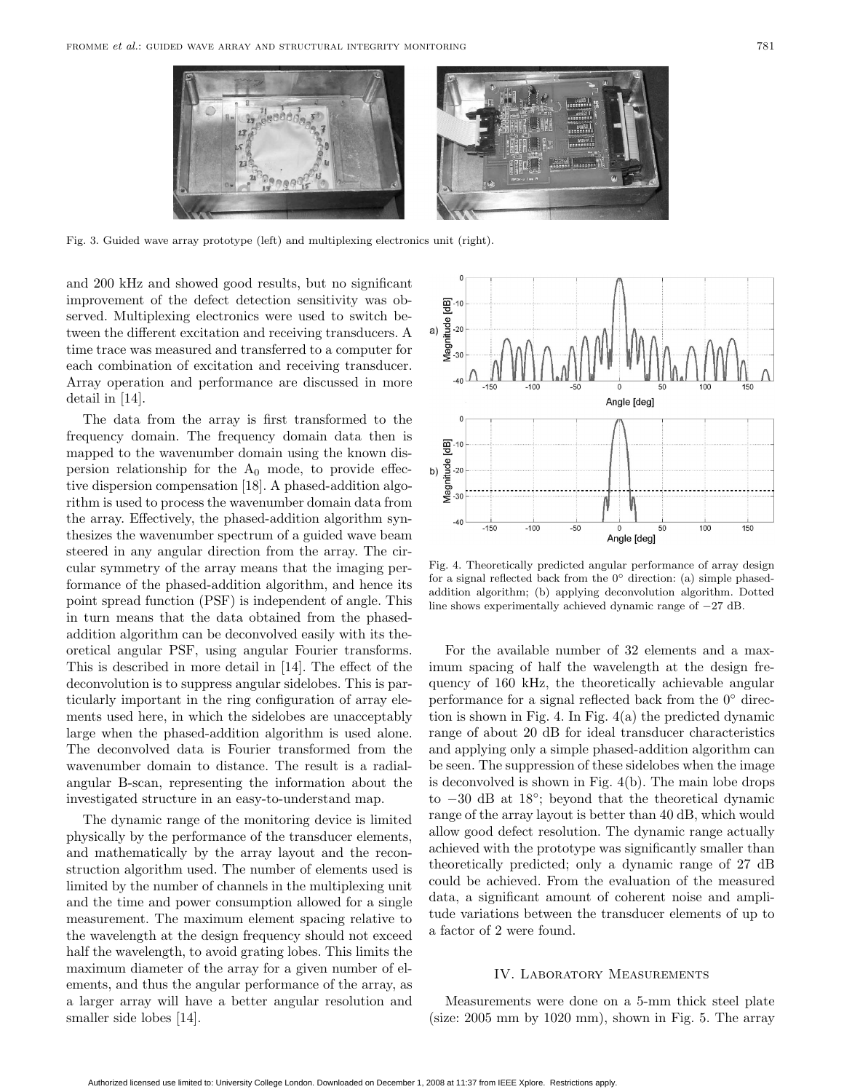

Fig. 3. Guided wave array prototype (left) and multiplexing electronics unit (right).

and 200 kHz and showed good results, but no significant improvement of the defect detection sensitivity was observed. Multiplexing electronics were used to switch between the different excitation and receiving transducers. A time trace was measured and transferred to a computer for each combination of excitation and receiving transducer. Array operation and performance are discussed in more detail in [14].

The data from the array is first transformed to the frequency domain. The frequency domain data then is mapped to the wavenumber domain using the known dispersion relationship for the  $A_0$  mode, to provide effective dispersion compensation [18]. A phased-addition algorithm is used to process the wavenumber domain data from the array. Effectively, the phased-addition algorithm synthesizes the wavenumber spectrum of a guided wave beam steered in any angular direction from the array. The circular symmetry of the array means that the imaging performance of the phased-addition algorithm, and hence its point spread function (PSF) is independent of angle. This in turn means that the data obtained from the phasedaddition algorithm can be deconvolved easily with its theoretical angular PSF, using angular Fourier transforms. This is described in more detail in [14]. The effect of the deconvolution is to suppress angular sidelobes. This is particularly important in the ring configuration of array elements used here, in which the sidelobes are unacceptably large when the phased-addition algorithm is used alone. The deconvolved data is Fourier transformed from the wavenumber domain to distance. The result is a radialangular B-scan, representing the information about the investigated structure in an easy-to-understand map.

The dynamic range of the monitoring device is limited physically by the performance of the transducer elements, and mathematically by the array layout and the reconstruction algorithm used. The number of elements used is limited by the number of channels in the multiplexing unit and the time and power consumption allowed for a single measurement. The maximum element spacing relative to the wavelength at the design frequency should not exceed half the wavelength, to avoid grating lobes. This limits the maximum diameter of the array for a given number of elements, and thus the angular performance of the array, as a larger array will have a better angular resolution and smaller side lobes [14].



Fig. 4. Theoretically predicted angular performance of array design for a signal reflected back from the  $0°$  direction: (a) simple phasedaddition algorithm; (b) applying deconvolution algorithm. Dotted line shows experimentally achieved dynamic range of −27 dB.

For the available number of 32 elements and a maximum spacing of half the wavelength at the design frequency of 160 kHz, the theoretically achievable angular performance for a signal reflected back from the  $0°$  direction is shown in Fig. 4. In Fig. 4(a) the predicted dynamic range of about 20 dB for ideal transducer characteristics and applying only a simple phased-addition algorithm can be seen. The suppression of these sidelobes when the image is deconvolved is shown in Fig. 4(b). The main lobe drops to −30 dB at 18◦; beyond that the theoretical dynamic range of the array layout is better than 40 dB, which would allow good defect resolution. The dynamic range actually achieved with the prototype was significantly smaller than theoretically predicted; only a dynamic range of 27 dB could be achieved. From the evaluation of the measured data, a significant amount of coherent noise and amplitude variations between the transducer elements of up to a factor of 2 were found.

#### IV. Laboratory Measurements

Measurements were done on a 5-mm thick steel plate (size: 2005 mm by 1020 mm), shown in Fig. 5. The array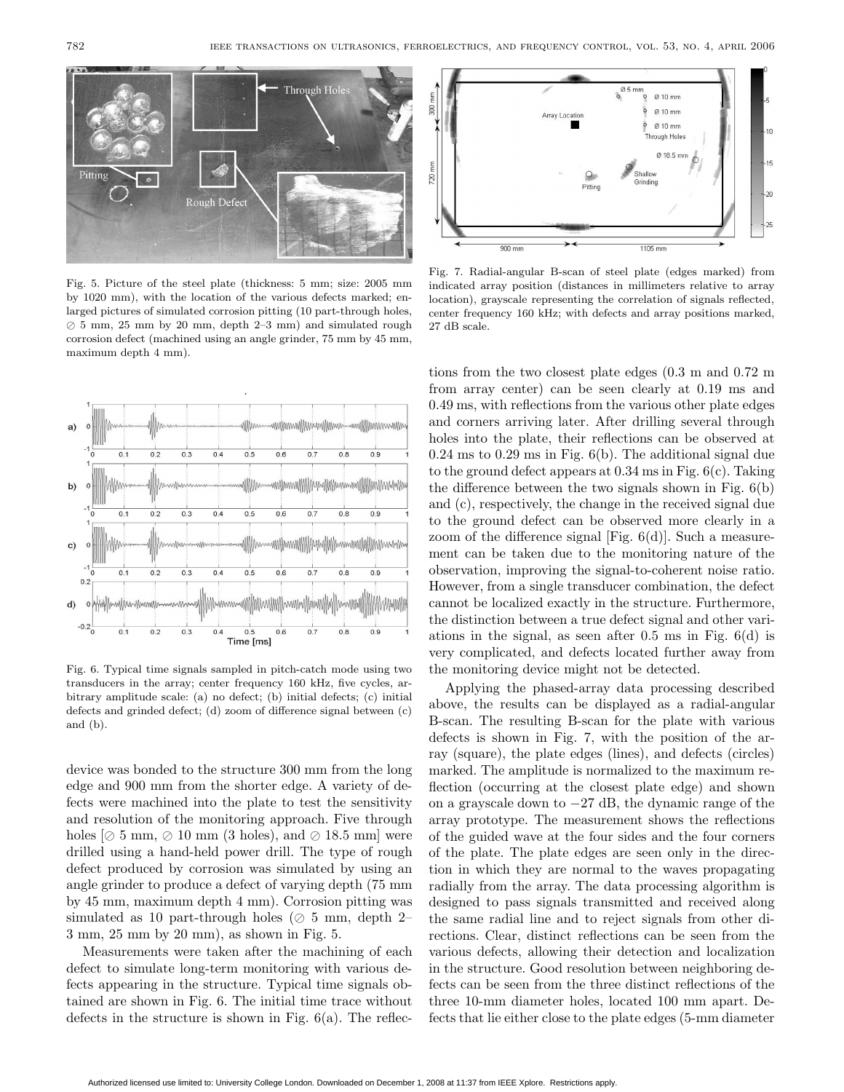$900 \text{ mm}$ 

720

Fig. 5. Picture of the steel plate (thickness: 5 mm; size: 2005 mm by 1020 mm), with the location of the various defects marked; enlarged pictures of simulated corrosion pitting (10 part-through holes,  $\oslash$  5 mm, 25 mm by 20 mm, depth 2–3 mm) and simulated rough corrosion defect (machined using an angle grinder, 75 mm by 45 mm, maximum depth 4 mm).

Fig. 6. Typical time signals sampled in pitch-catch mode using two transducers in the array; center frequency 160 kHz, five cycles, arbitrary amplitude scale: (a) no defect; (b) initial defects; (c) initial defects and grinded defect; (d) zoom of difference signal between (c) and (b).

device was bonded to the structure 300 mm from the long edge and 900 mm from the shorter edge. A variety of defects were machined into the plate to test the sensitivity and resolution of the monitoring approach. Five through holes  $\varnothing$  5 mm,  $\varnothing$  10 mm (3 holes), and  $\varnothing$  18.5 mm] were drilled using a hand-held power drill. The type of rough defect produced by corrosion was simulated by using an angle grinder to produce a defect of varying depth (75 mm by 45 mm, maximum depth 4 mm). Corrosion pitting was simulated as 10 part-through holes ( $\oslash$  5 mm, depth 2– 3 mm, 25 mm by 20 mm), as shown in Fig. 5.

Measurements were taken after the machining of each defect to simulate long-term monitoring with various defects appearing in the structure. Typical time signals obtained are shown in Fig. 6. The initial time trace without defects in the structure is shown in Fig. 6(a). The reflections from the two closest plate edges (0.3 m and 0.72 m from array center) can be seen clearly at 0.19 ms and 0.49 ms, with reflections from the various other plate edges and corners arriving later. After drilling several through holes into the plate, their reflections can be observed at 0.24 ms to 0.29 ms in Fig. 6(b). The additional signal due to the ground defect appears at 0.34 ms in Fig. 6(c). Taking the difference between the two signals shown in Fig. 6(b) and (c), respectively, the change in the received signal due to the ground defect can be observed more clearly in a zoom of the difference signal [Fig. 6(d)]. Such a measurement can be taken due to the monitoring nature of the observation, improving the signal-to-coherent noise ratio. However, from a single transducer combination, the defect cannot be localized exactly in the structure. Furthermore, the distinction between a true defect signal and other variations in the signal, as seen after 0.5 ms in Fig. 6(d) is very complicated, and defects located further away from

Fig. 7. Radial-angular B-scan of steel plate (edges marked) from indicated array position (distances in millimeters relative to array location), grayscale representing the correlation of signals reflected, center frequency 160 kHz; with defects and array positions marked, 27 dB scale.

 $\circ$ 

Pitting

 $0.5$  mm

Shallm

 $1105 \, \text{mm}$ 

 $Q_1$ 10 mm Ø 10 mm Ø 10 mm hrough Holes Ø 18.5 mm

the monitoring device might not be detected. Applying the phased-array data processing described above, the results can be displayed as a radial-angular B-scan. The resulting B-scan for the plate with various defects is shown in Fig. 7, with the position of the array (square), the plate edges (lines), and defects (circles) marked. The amplitude is normalized to the maximum reflection (occurring at the closest plate edge) and shown on a grayscale down to −27 dB, the dynamic range of the array prototype. The measurement shows the reflections of the guided wave at the four sides and the four corners of the plate. The plate edges are seen only in the direction in which they are normal to the waves propagating radially from the array. The data processing algorithm is designed to pass signals transmitted and received along the same radial line and to reject signals from other directions. Clear, distinct reflections can be seen from the various defects, allowing their detection and localization in the structure. Good resolution between neighboring defects can be seen from the three distinct reflections of the three 10-mm diameter holes, located 100 mm apart. Defects that lie either close to the plate edges (5-mm diameter



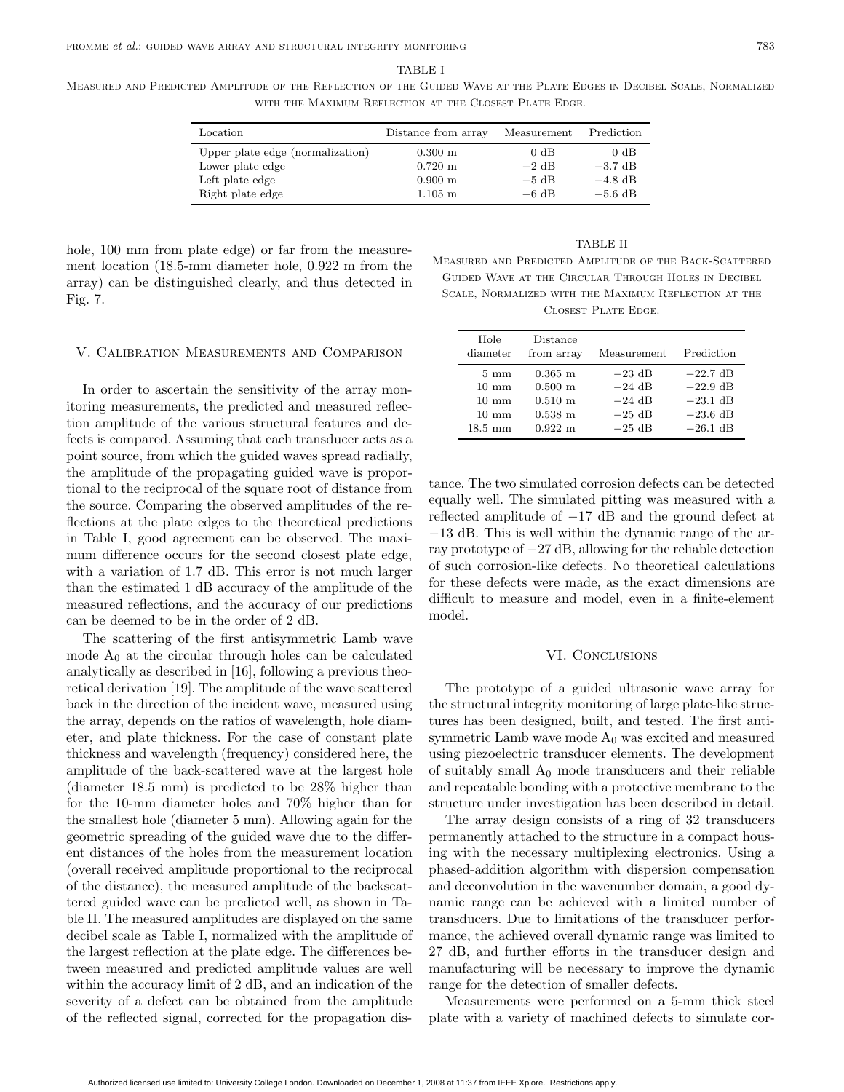#### TABLE I

Measured and Predicted Amplitude of the Reflection of the Guided Wave at the Plate Edges in Decibel Scale, Normalized WITH THE MAXIMUM REFLECTION AT THE CLOSEST PLATE EDGE.

| Location                         | Distance from array   | Measurement | Prediction |
|----------------------------------|-----------------------|-------------|------------|
| Upper plate edge (normalization) | $0.300 \; \mathrm{m}$ | 0 dB        | 0 dB       |
| Lower plate edge                 | $0.720 \;{\rm m}$     | $-2$ dB     | $-3.7$ dB  |
| Left plate edge                  | $0.900 \;{\rm m}$     | $-5$ dB     | $-4.8$ dB  |
| Right plate edge                 | $1.105 \; \mathrm{m}$ | $-6$ dB     | $-5.6$ dB  |

hole, 100 mm from plate edge) or far from the measurement location (18.5-mm diameter hole, 0.922 m from the array) can be distinguished clearly, and thus detected in Fig. 7.

#### TABLE II

Measured and Predicted Amplitude of the Back-Scattered Guided Wave at the Circular Through Holes in Decibel Scale, Normalized with the Maximum Reflection at the Closest Plate Edge.

#### V. Calibration Measurements and Comparison

In order to ascertain the sensitivity of the array monitoring measurements, the predicted and measured reflection amplitude of the various structural features and defects is compared. Assuming that each transducer acts as a point source, from which the guided waves spread radially, the amplitude of the propagating guided wave is proportional to the reciprocal of the square root of distance from the source. Comparing the observed amplitudes of the reflections at the plate edges to the theoretical predictions in Table I, good agreement can be observed. The maximum difference occurs for the second closest plate edge, with a variation of 1.7 dB. This error is not much larger than the estimated 1 dB accuracy of the amplitude of the measured reflections, and the accuracy of our predictions can be deemed to be in the order of 2 dB.

The scattering of the first antisymmetric Lamb wave mode  $A_0$  at the circular through holes can be calculated analytically as described in [16], following a previous theoretical derivation [19]. The amplitude of the wave scattered back in the direction of the incident wave, measured using the array, depends on the ratios of wavelength, hole diameter, and plate thickness. For the case of constant plate thickness and wavelength (frequency) considered here, the amplitude of the back-scattered wave at the largest hole (diameter 18.5 mm) is predicted to be 28% higher than for the 10-mm diameter holes and 70% higher than for the smallest hole (diameter 5 mm). Allowing again for the geometric spreading of the guided wave due to the different distances of the holes from the measurement location (overall received amplitude proportional to the reciprocal of the distance), the measured amplitude of the backscattered guided wave can be predicted well, as shown in Table II. The measured amplitudes are displayed on the same decibel scale as Table I, normalized with the amplitude of the largest reflection at the plate edge. The differences between measured and predicted amplitude values are well within the accuracy limit of 2 dB, and an indication of the severity of a defect can be obtained from the amplitude of the reflected signal, corrected for the propagation dis-

Hole Distance diameter from array Measurement Prediction  $5 \text{ mm}$  0.365 m −23 dB −22.7 dB<br>10 mm 0.500 m −24 dB −22.9 dB 10 mm  $0.500 \text{ m}$   $-24 \text{ dB}$   $-22.9 \text{ dB}$ <br>10 mm  $0.510 \text{ m}$   $-24 \text{ dB}$   $-23.1 \text{ dB}$  $\begin{array}{cccc} \hbox{10 mm} & \hbox{0.510 m} & \hbox{--}24 \; \hbox{dB} & \hbox{--}23.1 \; \hbox{dB} \\ \hbox{10 mm} & \hbox{0.538 m} & \hbox{--}25 \; \hbox{dB} & \hbox{--}23.6 \; \hbox{dB} \\ \hline \end{array}$ 10 mm  $0.538 \text{ m}$   $-25 \text{ dB}$   $-23.6 \text{ dB}$ <br>18.5 mm  $0.922 \text{ m}$   $-25 \text{ dB}$   $-26.1 \text{ dB}$  $-26.1$  dB

tance. The two simulated corrosion defects can be detected equally well. The simulated pitting was measured with a reflected amplitude of −17 dB and the ground defect at −13 dB. This is well within the dynamic range of the array prototype of −27 dB, allowing for the reliable detection of such corrosion-like defects. No theoretical calculations for these defects were made, as the exact dimensions are difficult to measure and model, even in a finite-element model.

# VI. CONCLUSIONS

The prototype of a guided ultrasonic wave array for the structural integrity monitoring of large plate-like structures has been designed, built, and tested. The first antisymmetric Lamb wave mode  $A_0$  was excited and measured using piezoelectric transducer elements. The development of suitably small  $A_0$  mode transducers and their reliable and repeatable bonding with a protective membrane to the structure under investigation has been described in detail.

The array design consists of a ring of 32 transducers permanently attached to the structure in a compact housing with the necessary multiplexing electronics. Using a phased-addition algorithm with dispersion compensation and deconvolution in the wavenumber domain, a good dynamic range can be achieved with a limited number of transducers. Due to limitations of the transducer performance, the achieved overall dynamic range was limited to 27 dB, and further efforts in the transducer design and manufacturing will be necessary to improve the dynamic range for the detection of smaller defects.

Measurements were performed on a 5-mm thick steel plate with a variety of machined defects to simulate cor-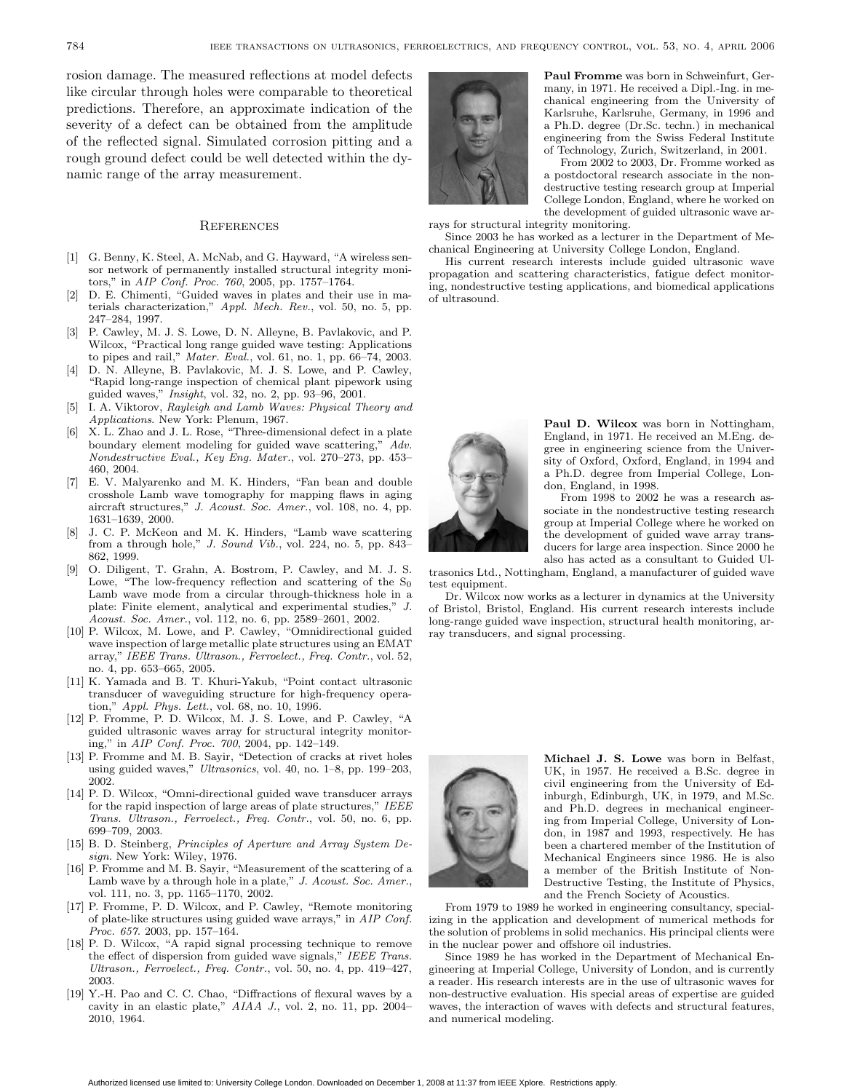rosion damage. The measured reflections at model defects like circular through holes were comparable to theoretical predictions. Therefore, an approximate indication of the severity of a defect can be obtained from the amplitude of the reflected signal. Simulated corrosion pitting and a rough ground defect could be well detected within the dynamic range of the array measurement.

#### **REFERENCES**

- [1] G. Benny, K. Steel, A. McNab, and G. Hayward, "A wireless sensor network of permanently installed structural integrity monitors," in AIP Conf. Proc. 760, 2005, pp. 1757–1764.
- [2] D. E. Chimenti, "Guided waves in plates and their use in materials characterization," Appl. Mech. Rev., vol. 50, no. 5, pp. 247–284, 1997.
- [3] P. Cawley, M. J. S. Lowe, D. N. Alleyne, B. Pavlakovic, and P. Wilcox, "Practical long range guided wave testing: Applications to pipes and rail," Mater. Eval., vol. 61, no. 1, pp. 66–74, 2003.
- [4] D. N. Alleyne, B. Pavlakovic, M. J. S. Lowe, and P. Cawley, "Rapid long-range inspection of chemical plant pipework using guided waves," Insight, vol. 32, no. 2, pp. 93–96, 2001.
- [5] I. A. Viktorov, Rayleigh and Lamb Waves: Physical Theory and Applications. New York: Plenum, 1967.
- [6] X. L. Zhao and J. L. Rose, "Three-dimensional defect in a plate boundary element modeling for guided wave scattering," Adv. Nondestructive Eval., Key Eng. Mater., vol. 270–273, pp. 453– 460, 2004.
- [7] E. V. Malyarenko and M. K. Hinders, "Fan bean and double crosshole Lamb wave tomography for mapping flaws in aging aircraft structures," J. Acoust. Soc. Amer., vol. 108, no. 4, pp. 1631–1639, 2000.
- J. C. P. McKeon and M. K. Hinders, "Lamb wave scattering from a through hole," J. Sound Vib., vol. 224, no. 5, pp. 843– 862, 1999.
- [9] O. Diligent, T. Grahn, A. Bostrom, P. Cawley, and M. J. S. Lowe, "The low-frequency reflection and scattering of the  $S_0$ Lamb wave mode from a circular through-thickness hole in a plate: Finite element, analytical and experimental studies," J. Acoust. Soc. Amer., vol. 112, no. 6, pp. 2589–2601, 2002.
- [10] P. Wilcox, M. Lowe, and P. Cawley, "Omnidirectional guided wave inspection of large metallic plate structures using an EMAT array," IEEE Trans. Ultrason., Ferroelect., Freq. Contr., vol. 52, no. 4, pp. 653–665, 2005.
- [11] K. Yamada and B. T. Khuri-Yakub, "Point contact ultrasonic transducer of waveguiding structure for high-frequency operation," Appl. Phys. Lett., vol. 68, no. 10, 1996.
- [12] P. Fromme, P. D. Wilcox, M. J. S. Lowe, and P. Cawley, "A guided ultrasonic waves array for structural integrity monitoring," in AIP Conf. Proc. 700, 2004, pp. 142–149.
- [13] P. Fromme and M. B. Sayir, "Detection of cracks at rivet holes using guided waves," Ultrasonics, vol. 40, no. 1–8, pp. 199–203, 2002.
- [14] P. D. Wilcox, "Omni-directional guided wave transducer arrays for the rapid inspection of large areas of plate structures," IEEE Trans. Ultrason., Ferroelect., Freq. Contr., vol. 50, no. 6, pp. 699–709, 2003.
- [15] B. D. Steinberg, *Principles of Aperture and Array System De*sign. New York: Wiley, 1976.
- [16] P. Fromme and M. B. Sayir, "Measurement of the scattering of a Lamb wave by a through hole in a plate," J. Acoust. Soc. Amer., vol. 111, no. 3, pp. 1165–1170, 2002.
- [17] P. Fromme, P. D. Wilcox, and P. Cawley, "Remote monitoring of plate-like structures using guided wave arrays," in AIP Conf.  $\overline{Proc. 657. 2003, pp. 157-164.}$
- [18] P. D. Wilcox, "A rapid signal processing technique to remove the effect of dispersion from guided wave signals," IEEE Trans. Ultrason., Ferroelect., Freq. Contr., vol. 50, no. 4, pp. 419–427, 2003.
- [19] Y.-H. Pao and C. C. Chao, "Diffractions of flexural waves by a cavity in an elastic plate," AIAA J., vol. 2, no. 11, pp. 2004– 2010, 1964.



**Paul Fromme** was born in Schweinfurt, Germany, in 1971. He received a Dipl.-Ing. in mechanical engineering from the University of Karlsruhe, Karlsruhe, Germany, in 1996 and a Ph.D. degree (Dr.Sc. techn.) in mechanical engineering from the Swiss Federal Institute of Technology, Zurich, Switzerland, in 2001.

From 2002 to 2003, Dr. Fromme worked as a postdoctoral research associate in the nondestructive testing research group at Imperial College London, England, where he worked on the development of guided ultrasonic wave arrays for structural integrity monitoring.

Since 2003 he has worked as a lecturer in the Department of Mechanical Engineering at University College London, England.

His current research interests include guided ultrasonic wave propagation and scattering characteristics, fatigue defect monitoring, nondestructive testing applications, and biomedical applications of ultrasound.



**Paul D. Wilcox** was born in Nottingham, England, in 1971. He received an M.Eng. degree in engineering science from the University of Oxford, Oxford, England, in 1994 and a Ph.D. degree from Imperial College, London, England, in 1998.

From 1998 to 2002 he was a research associate in the nondestructive testing research group at Imperial College where he worked on the development of guided wave array transducers for large area inspection. Since 2000 he also has acted as a consultant to Guided Ul-

trasonics Ltd., Nottingham, England, a manufacturer of guided wave test equipment.

Dr. Wilcox now works as a lecturer in dynamics at the University of Bristol, Bristol, England. His current research interests include long-range guided wave inspection, structural health monitoring, array transducers, and signal processing.



**Michael J. S. Lowe** was born in Belfast, UK, in 1957. He received a B.Sc. degree in civil engineering from the University of Edinburgh, Edinburgh, UK, in 1979, and M.Sc. and Ph.D. degrees in mechanical engineering from Imperial College, University of London, in 1987 and 1993, respectively. He has been a chartered member of the Institution of Mechanical Engineers since 1986. He is also a member of the British Institute of Non-Destructive Testing, the Institute of Physics, and the French Society of Acoustics.

From 1979 to 1989 he worked in engineering consultancy, specializing in the application and development of numerical methods for the solution of problems in solid mechanics. His principal clients were in the nuclear power and offshore oil industries.

Since 1989 he has worked in the Department of Mechanical Engineering at Imperial College, University of London, and is currently a reader. His research interests are in the use of ultrasonic waves for non-destructive evaluation. His special areas of expertise are guided waves, the interaction of waves with defects and structural features, and numerical modeling.